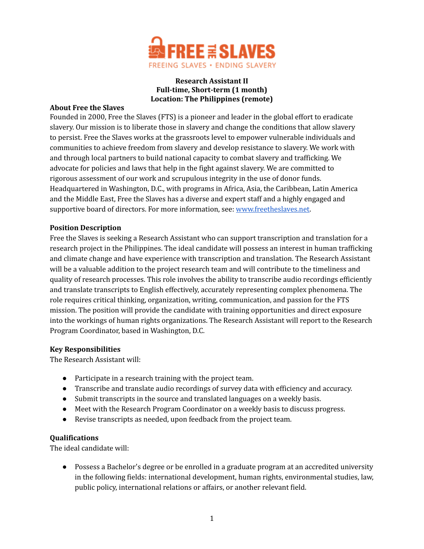

## **Research Assistant II Full-time, Short-term (1 month) Location: The Philippines (remote)**

### **About Free the Slaves**

Founded in 2000, Free the Slaves (FTS) is a pioneer and leader in the global effort to eradicate slavery. Our mission is to liberate those in slavery and change the conditions that allow slavery to persist. Free the Slaves works at the grassroots level to empower vulnerable individuals and communities to achieve freedom from slavery and develop resistance to slavery. We work with and through local partners to build national capacity to combat slavery and trafficking. We advocate for policies and laws that help in the fight against slavery. We are committed to rigorous assessment of our work and scrupulous integrity in the use of donor funds. Headquartered in Washington, D.C., with programs in Africa, Asia, the Caribbean, Latin America and the Middle East, Free the Slaves has a diverse and expert staff and a highly engaged and supportive board of directors. For more information, see: [www.freetheslaves.net](http://www.freetheslaves.net).

### **Position Description**

Free the Slaves is seeking a Research Assistant who can support transcription and translation for a research project in the Philippines. The ideal candidate will possess an interest in human trafficking and climate change and have experience with transcription and translation. The Research Assistant will be a valuable addition to the project research team and will contribute to the timeliness and quality of research processes. This role involves the ability to transcribe audio recordings efficiently and translate transcripts to English effectively, accurately representing complex phenomena. The role requires critical thinking, organization, writing, communication, and passion for the FTS mission. The position will provide the candidate with training opportunities and direct exposure into the workings of human rights organizations. The Research Assistant will report to the Research Program Coordinator, based in Washington, D.C.

### **Key Responsibilities**

The Research Assistant will:

- Participate in a research training with the project team.
- Transcribe and translate audio recordings of survey data with efficiency and accuracy.
- Submit transcripts in the source and translated languages on a weekly basis.
- Meet with the Research Program Coordinator on a weekly basis to discuss progress.
- Revise transcripts as needed, upon feedback from the project team.

### **Qualifications**

The ideal candidate will:

● Possess a Bachelor's degree or be enrolled in a graduate program at an accredited university in the following fields: international development, human rights, environmental studies, law, public policy, international relations or affairs, or another relevant field.